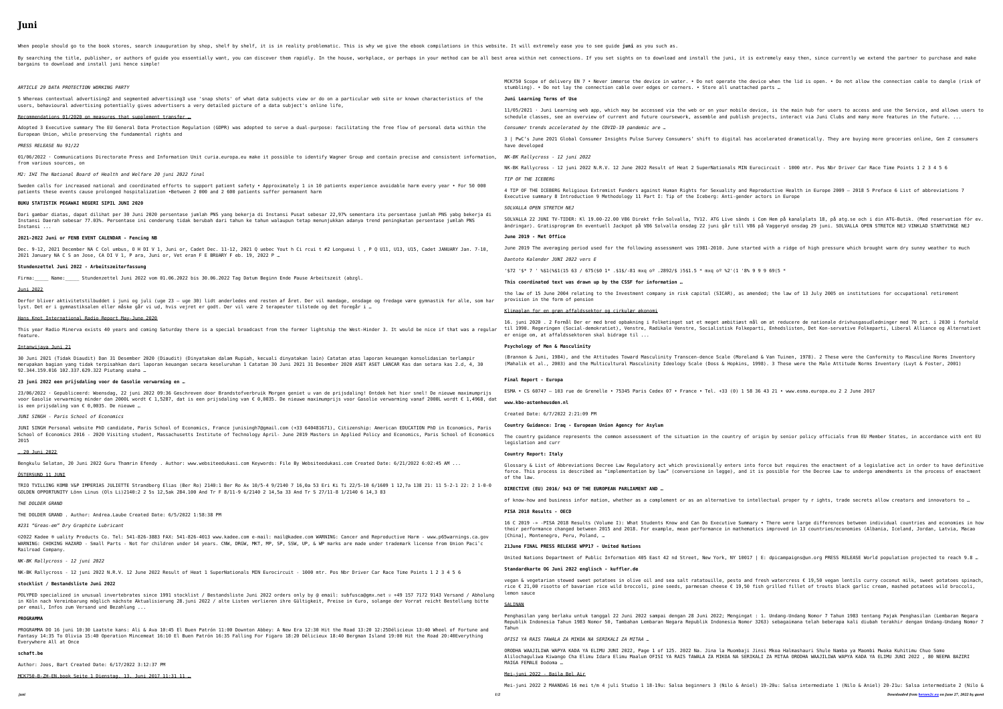# **Juni**

When people should go to the book stores, search inauguration by shop, shelf by shelf, it is in reality problematic. This is why we give the ebook compilations in this website. It will extremely ease you to see guide juni

By searching the title, publisher, or authors of guide you essentially want, you can discover them rapidly. In the house, workplace, or perhaps in your method can be all best area within net connections. If you set sights bargains to download and install juni hence simple!

5 Whereas contextual advertising2 and segmented advertising3 use 'snap shots' of what data subjects view or do on a particular web users, behavioural advertising potentially gives advertisers a very detailed picture of a data subject's online life,

# Recommendations 01/2020 on measures that supplement transfer ...

Adopted 3 Executive summary The EU General Data Protection Regulation (GDPR) was adopted to serve a dual-purpose: facilitating the European Union, while preserving the fundamental rights and

## *ARTICLE 29 DATA PROTECTION WORKING PARTY*

 $01/06/2022$  · Communications Directorate Press and Information Unit curia.europa.eu make it possible to identify Wagner Group and c from various sources, on

Sweden calls for increased national and coordinated efforts to support patient safety • Approximately 1 in 10 patients experience patients these events cause prolonged hospitalization •Between 2 000 and 2 600 patients suffer permanent harm

Dari gambar diatas, dapat dilihat per 30 Juni 2020 persentase jumlah PNS yang bekerja di Instansi Pusat sebesar 22,97% sementara i Instansi Daerah sebesar 77.03%. Persentase ini cenderung tidak berubah dari tahun ke tahun walaupun tetap menunjukkan adanya trend Instansi ...

Dec. 9-12, 2021 December NA C Col umbus, O H DI V 1, Juni or, Cadet Dec. 11-12, 2021 Q uebec Yout h Ci rcui t #2 Longueui l , P Q 2021 January NA C S an Jose, CA DI V 1, P ara, Juni or, Vet eran F E BRUARY F eb. 19, 2022 P …

#### *PRESS RELEASE No 91/22*

Derfor bliver aktivitetstilbuddet i juni og juli (uge 23 – uge 30) lidt anderledes end resten af året. Der vil mandage, onsdage og lyst. Det er i gymnastiksalen eller måske går vi ud, hvis vejret er godt. Der vil være 2 terapeuter tilstede og det foregår i …

*M2: IHI The National Board of Health and Welfare 20 juni 2022 final*

This year Radio Minerva exists 40 years and coming Saturday there is a special broadcast from the former lightship the West-Hinder feature.

30 Juni 2021 (Tidak Diaudit) Dan 31 Desember 2020 (Diaudit) (Dinyatakan dalam Rupiah, kecuali dinyatakan lain) Catatan atas lapora merupakan bagian yang tidak terpisahkan dari laporan keuangan secara keseluruhan 1 Catatan 30 Juni 2021 31 Desember 2020 ASET ASET 92.344.159.016 102.337.629.322 Piutang usaha …

## **BUKU STATISTIK PEGAWAI NEGERI SIPIL JUNI 2020**

23/06/2022 · Gepubliceerd: Woensdag, 22 juni 2022 09:36 Geschreven door Brandstofverbruik Morgen geniet u van de prijsdaling! Ontd voor Gasolie verwarming minder dan 2000L wordt € 1,5287, dat is een prijsdaling van € 0,0035. De nieuwe maximumprijs voor Gasolie is een prijsdaling van € 0,0035. De nieuwe …

JUNI SINGH Personal website PhD candidate, Paris School of Economics, France junisingh7@gmail.com (+33 640481671), Citizenship: Ame School of Economics 2016 - 2020 Visiting student, Massachusetts Institute of Technology April- June 2019 Masters in Applied Policy 2015

#### **2021-2022 Juni or FENB EVENT CALENDAR - Fencing NB**

TRIO TVILLING KOMB V&P IMPERIAS JULIETTE Strandberg Elias (Ber Ro) 2140:1 Ber Ro Ax 10/5-4 9/2140 7 16,0a 53 Eri Ki Ti 22/5-10 6/1 GOLDEN OPPORTUNITY Lönn Linus (Ols Li)2140:2 2 5s 12,5ak 284.100 And Tr F 8/11-9 6/2140 2 14,5a 33 And Tr S 27/11-8 1/2140 6 14,3 83

#### **Stundenzettel Juni 2022 - Arbeitszeiterfassung**

Firma: Name: Stundenzettel Juni 2022 vom 01.06.2022 bis 30.06.2022 Tag Datum Beginn Ende Pause Arbeitszeit (abzgl.

©2022 Kadee ® uality Products Co. Tel: 541-826-3883 FAX: 541-826-4013 www.kadee.com e-mail: mail@kadee.com WARNING: Cancer and Rep WARNING: CHOKING HAZARD - Small Parts - Not for children under 14 years. CNW, DRGW, MKT, MP, SP, SSW, UP, & WP marks are made unde Railroad Company.

#### Juni 2022

POLYPED specialized in unusual invertebrates since 1991 stocklist / Bestandsliste Juni 2022 orders only by @ email: subfusca@gmx.ne in Köln nach Vereinbarung möglich nächste Aktualisierung 28.juni 2022 / alte Listen verlieren ihre Gültigkeit, Preise in €uro, sola per email, Infos zum Versand und Bezahlung ...

## Hans Knot International Radio Report May-June 2020

PROGRAMMA DO 16 juni 10:30 Laatste kans: Ali & Ava 10:45 El Buen Patrón 11:00 Downton Abbey: A New Era 12:30 Hit the Road 13:20 12 Fantasy 14:35 To Olivia 15:40 Operation Mincemeat 16:10 El Buen Patrón 16:35 Falling For Figaro 18:20 Délicieux 18:40 Bergman Islan Everywhere All at Once

#### Intanwijaya Juni 21

#### **23 juni 2022 een prijsdaling voor de Gasolie verwarming en …**

## *JUNI SINGH - Paris School of Economics*

#### , 20 Juni 2022

Bengkulu Selatan, 20 Juni 2022 Guru Thamrin Efendy . Author: www.websiteedukasi.com Keywords: File By Websiteedukasi.com Created Da

## ÖSTERSUND 11 JUNI

## *THE DOLDER GRAND*

THE DOLDER GRAND . Author: Andrea.Laube Created Date: 6/5/2022 1:58:38 PM

#### *#231 "Greas-em" Dry Graphite Lubricant*

# *NK-BK Rallycross - 12 juni 2022*

NK-BK Rallycross - 12 juni 2022 N.R.V. 12 June 2022 Result of Heat 1 SuperNationals MIN Eurocircuit - 1000 mtr. Pos Nbr Driver Car

## **stocklist / Bestandsliste Juni 2022**

#### **PROGRAMMA**

*juni 1/2 Downloaded from [heroes2c.eu](http://heroes2c.eu) on June 27, 2022 by guest* Mei-juni 2022 2 MAANDAG 16 mei t/m 4 juli Studio 1 18-19u: Salsa beginners 3 (Nilo & Aniel) 19-20u: Salsa intermediate 1 (Nilo & Aniel) 20-21u: Salsa intermediate 2 (Nilo &

evice when the lid is open. • Do not allow the connection cable to dangle (risk of

vice, is the main hub for users to access and use the Service, and allows users to rojects, interact via Juni Clubs and many more features in the future. ...

accelerated dramatically. They are buying more groceries online, Gen Z consumers

rocircuit - 1000 mtr. Pos Nbr Driver Car Race Time Points 1 2 3 4 5 6

productive Health in Europe 2009 – 2018 5 Preface 6 List of abbreviations 7 actors in Europe

SOM Hem på kanalplats 18. på atg.se och i din ATG-Butik. (Med reservation för ev. på Vaggeryd onsdag 29 juni. SOLVALLA OPEN STRETCH NEJ VINKLAD STARTVINGE NEJ

ed with a ridge of high pressure which brought warm dry sunny weather to much

nded; the law of 13 July 2005 on institutions for occupational retirement

1 om at reducere de nationale drivhusgasudledninger med 70 pct. i 2030 i forhold rti, Enhedslisten, Det Kon-servative Folkeparti, Liberal Alliance og Alternativet

(Brand & Van Tuinen, 1978). 2 These were the Conformity to Masculine Norms Inventory 998). 3 These were the Male Attitude Norms Inventory (Luyt & Foster, 2001).

#### **schaft.be**

Author: Joos, Bart Created Date: 6/17/2022 3:12:37 PM

MCK750-B-ZH-EN.book Seite 1 Dienstag, 13. Juni 2017 11:31 11 …

|                                                                                         | MCK750 Scope of delivery EN 7 . Never immerse the device in water. . Do not operate the device when t<br>stumbling). • Do not lay the connection cable over edges or corners. • Store all unattached parts                                                         |
|-----------------------------------------------------------------------------------------|--------------------------------------------------------------------------------------------------------------------------------------------------------------------------------------------------------------------------------------------------------------------|
| site or known characteristics of the                                                    | Juni Learning Terms of Use                                                                                                                                                                                                                                         |
|                                                                                         | $11/05/2021$ · Juni Learning web app, which may be accessed via the web or on your mobile device, is th<br>schedule classes, see an overview of current and future coursework, assemble and publish projects, in                                                   |
| e free flow of personal data within the                                                 | Consumer trends accelerated by the COVID-19 pandemic are                                                                                                                                                                                                           |
|                                                                                         | 3   PwC's June 2021 Global Consumer Insights Pulse Survey Consumers' shift to digital has accelerated<br>have developed                                                                                                                                            |
| contain precise and consistent information,                                             | NK-BK Rallycross - 12 juni 2022                                                                                                                                                                                                                                    |
|                                                                                         | NK-BK Rallycross - 12 juni 2022 N.R.V. 12 June 2022 Result of Heat 2 SuperNationals MIN Eurocircuit -                                                                                                                                                              |
| avoidable harm every year . For 50 000                                                  | TIP OF THE ICEBERG                                                                                                                                                                                                                                                 |
|                                                                                         | 4 TIP OF THE ICEBERG Religious Extremist Funders against Human Rights for Sexuality and Reproductive<br>Executive summary 8 Introduction 9 Methodology 11 Part I: Tip of the Iceberg: Anti-gender actors in E                                                      |
| itu persentase jumlah PNS yabg bekerja di<br>d peningkatan persentase jumlah PNS        | SOLVALLA OPEN STRETCH NEJ                                                                                                                                                                                                                                          |
|                                                                                         | SOLVALLA 22 JUNI TV-TIDER: Kl 19.00-22.00 V86 Direkt från Solvalla, TV12. ATG Live sänds i Com Hem på<br>ändringar). Gratisprogram En eventuell Jackpot på V86 Solvalla onsdag 22 juni går till V86 på Vaggery                                                     |
|                                                                                         | June 2019 - Met Office                                                                                                                                                                                                                                             |
| U11, U13, U15, Cadet JANUARY Jan. 7-10,                                                 | June 2019 The averaging period used for the following assessment was 1981-2010. June started with a r                                                                                                                                                              |
|                                                                                         | Dantoto Kalender JUNI 2022 vers E                                                                                                                                                                                                                                  |
|                                                                                         | '\$72 '\$* 7 ' %\$1(%\$1(15 63 / 675(\$0 1* .\$1\$/-81 mxq 0º .2892/\$ )5\$1.5 * mxq 0º %2'(1 '8% 9 9 9 69(5 *                                                                                                                                                     |
|                                                                                         | This coordinated text was drawn up by the CSSF for information                                                                                                                                                                                                     |
| g fredage være gymnastik for alle, som har                                              | the law of 15 June 2004 relating to the Investment company in risk capital (SICAR), as amended; the l<br>provision in the form of pension                                                                                                                          |
|                                                                                         | Klimaplan for en grøn affaldssektor og cirkulær økonomi                                                                                                                                                                                                            |
| 3. It would be nice if that was a regular                                               | 16. juni 2020 . 2 Formål Der er med bred opbakning i Folketinget sat et meget ambitiøst mål om at red<br>til 1990. Regeringen (Social-demokratiet), Venstre, Radikale Venstre, Socialistisk Folkeparti, Enheds<br>er enige om, at affaldssektoren skal bidrage til |
|                                                                                         | Psychology of Men & Masculinity                                                                                                                                                                                                                                    |
| nn keuangan konsolidasian terlampir<br>LANCAR Kas dan setara kas 2.d, 4, 30             | (Brannon & Juni, 1984), and the Attitudes Toward Masculinity Transcen-dence Scale (Moreland & Van Tui<br>(Mahalik et al., 2003) and the Multicultural Masculinity Ideology Scale (Doss & Hopkins, 1998). 3 The                                                     |
|                                                                                         | Final Report - Europa                                                                                                                                                                                                                                              |
| lek het hier snel! De nieuwe maximumprijs<br>verwarming vanaf 2000L wordt € 1,4968, dat | ESMA • CS 60747 - 103 rue de Grenelle • 75345 Paris Cedex 07 • France • Tel. +33 (0) 1 58 36 43 21 •                                                                                                                                                               |
|                                                                                         | www.kbo-astenheusden.nl                                                                                                                                                                                                                                            |
|                                                                                         | Created Date: 6/7/2022 2:21:09 PM                                                                                                                                                                                                                                  |
| erican EDUCATION PhD in Economics, Paris<br>and Economics, Paris School of Economics    | Country Guidance: Iraq - European Union Agency for Asylum                                                                                                                                                                                                          |
|                                                                                         | The country guidance represents the common assessment of the situation in the country of origin by se<br>legislation and curr                                                                                                                                      |
|                                                                                         | Country Report: Italy                                                                                                                                                                                                                                              |
| )ate: 6/21/2022 6:02:45 AM                                                              | Glossary & List of Abbreviations Decree Law Regulatory act which provisionally enters into force but<br>force. This process is described as "implementation by law" (conversione in legge), and it is possibl<br>of the law.                                       |
| 1609 1 12,7a 138 21: 11 5-2-1 22: 2 1-0-0<br>83                                         | DIRECTIVE (EU) 2016/ 943 OF THE EUROPEAN PARLIAMENT AND                                                                                                                                                                                                            |
|                                                                                         | of know-how and business infor mation, whether as a complement or as an alternative to intellectual p                                                                                                                                                              |
|                                                                                         | PISA 2018 Results - OECD                                                                                                                                                                                                                                           |
| productive Harm - www.p65warnings.ca.gov<br>er trademark license from Union Paci~c      | 16 C 2019 -» -PISA 2018 Results (Volume I): What Students Know and Can Do Executive Summary • There w<br>their performance changed between 2015 and 2018. For example, mean performance in mathematics improve<br>[China], Montenegro, Peru, Poland,               |
|                                                                                         | 21June FINAL PRESS RELEASE WPP17 - United Nations                                                                                                                                                                                                                  |
|                                                                                         | United Nations Department of Public Information 405 East 42 nd Street, New York, NY 10017   E: dpicam                                                                                                                                                              |
|                                                                                         | Standardkarte OG Juni 2022 englisch - kuffler.de                                                                                                                                                                                                                   |
| Race Time Points 1 2 3 4 5 6                                                            | vegan & vegetarian stewed sweet potatoes in olive oil and sea salt ratatouille, pesto and fresh water<br>rice $\epsilon$ 21,00 risotto of bavarian rice wild broccoli, pine seeds, parmesan cheese $\epsilon$ 19,50 fish grilled                                   |
| 1et @ +49 157 7172 9143 Versand / Abholung<br>ange der Vorrat reicht Bestellung bitte   | lemon sauce<br>SALINAN                                                                                                                                                                                                                                             |
| :25Délicieux 13:40 Wheel of Fortune and                                                 | Penghasilan yang berlaku untuk tanggal 22 Juni 2022 sampai dengan 28 Juni 2022; Mengingat : 1. Undang<br>Republik Indonesia Tahun 1983 Nomor 50, Tambahan Lembaran Negara Republik Indonesia Nomor 3263) sebag<br>Tahun                                            |
| and 19:00 Hit the Road 20:40Everything                                                  | OFISI YA RAIS TAWALA ZA MIKOA NA SERIKALI ZA MITAA                                                                                                                                                                                                                 |
|                                                                                         |                                                                                                                                                                                                                                                                    |

ESMA • CS 60747 – 103 rue de Grenelle • 75345 Paris Cedex 07 • France • Tel. +33 (0) 1 58 36 43 21 • www.esma.europa.eu 2 2 June 2017

rigin by senior policy officials from EU Member States, in accordance with ent EU

force but requires the enactment of a legislative act in order to have definitive is possible for the Decree Law to undergo amendments in the process of enactment

ellectual proper ty r ights, trade secrets allow creators and innovators to …

 $\gamma$  • There were large differences between individual countries and economies in how ics improved in 13 countries/economies (Albania, Iceland, Jordan, Latvia, Macao

| E: dpicampaigns@un.org PRESS RELEASE World population projected to reach 9.8 ...

fresh watercress  $\epsilon$  19,50 vegan lentils curry coconut milk, sweet potatoes spinach, ish grilled fillet of trouts black garlic cream, mashed potatoes wild broccoli,

: 1. Undang-Undang Nomor 7 Tahun 1983 tentang Pajak Penghasilan (Lembaran Negara Bepublik Indonesia Tahun 1983 Nomor 2003 Sepanjara Indong-Undang Nomor 3

ORODHA WAAJILIWA WAPYA KADA YA ELIMU JUNI 2022, Page 1 of 125. 2022 Na. Jina la Muombaji Jinsi Mkoa Halmashauri Shule Namba ya Maombi Mwaka Kuhitimu Chuo Somo Alilochaguliwa Kiwango Cha Elimu Idara Elimu Maalum OFISI YA RAIS TAWALA ZA MIKOA NA SERIKALI ZA MITAA ORODHA WAAJILIWA WAPYA KADA YA ELIMU JUNI 2022 , 80 NEEMA BAZIRI MAIGA FEMALE Dodoma …

## Mei-juni 2022 - Baila Bel Air